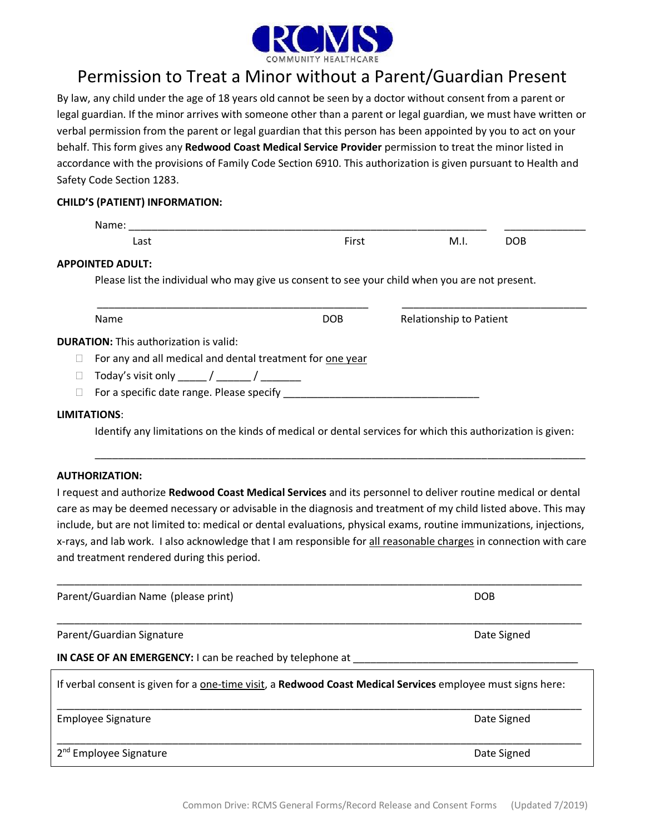

## Permission to Treat a Minor without a Parent/Guardian Present

By law, any child under the age of 18 years old cannot be seen by a doctor without consent from a parent or legal guardian. If the minor arrives with someone other than a parent or legal guardian, we must have written or verbal permission from the parent or legal guardian that this person has been appointed by you to act on your behalf. This form gives any **Redwood Coast Medical Service Provider** permission to treat the minor listed in accordance with the provisions of Family Code Section 6910. This authorization is given pursuant to Health and Safety Code Section 1283.

### **CHILD'S (PATIENT) INFORMATION:**

| Name:                                                     |                                                                                                |                                |
|-----------------------------------------------------------|------------------------------------------------------------------------------------------------|--------------------------------|
| Last                                                      | First                                                                                          | M.I.<br><b>DOB</b>             |
| APPOINTED ADULT:                                          |                                                                                                |                                |
|                                                           | Please list the individual who may give us consent to see your child when you are not present. |                                |
|                                                           |                                                                                                |                                |
| Name                                                      | DOB                                                                                            | <b>Relationship to Patient</b> |
|                                                           |                                                                                                |                                |
| <b>DURATION:</b> This authorization is valid:             |                                                                                                |                                |
| For any and all medical and dental treatment for one year |                                                                                                |                                |
| Today's visit only ______/ ______/ ________               |                                                                                                |                                |

Identify any limitations on the kinds of medical or dental services for which this authorization is given:

\_\_\_\_\_\_\_\_\_\_\_\_\_\_\_\_\_\_\_\_\_\_\_\_\_\_\_\_\_\_\_\_\_\_\_\_\_\_\_\_\_\_\_\_\_\_\_\_\_\_\_\_\_\_\_\_\_\_\_\_\_\_\_\_\_\_\_\_\_\_\_\_\_\_\_\_\_\_\_\_\_\_\_\_\_

### **AUTHORIZATION:**

I request and authorize **Redwood Coast Medical Services** and its personnel to deliver routine medical or dental care as may be deemed necessary or advisable in the diagnosis and treatment of my child listed above. This may include, but are not limited to: medical or dental evaluations, physical exams, routine immunizations, injections, x-rays, and lab work. I also acknowledge that I am responsible for all reasonable charges in connection with care and treatment rendered during this period.

| Parent/Guardian Name (please print)                                                                         | <b>DOB</b>  |  |  |  |  |
|-------------------------------------------------------------------------------------------------------------|-------------|--|--|--|--|
| Parent/Guardian Signature                                                                                   | Date Signed |  |  |  |  |
| IN CASE OF AN EMERGENCY: I can be reached by telephone at                                                   |             |  |  |  |  |
| If verbal consent is given for a one-time visit, a Redwood Coast Medical Services employee must signs here: |             |  |  |  |  |
| <b>Employee Signature</b>                                                                                   | Date Signed |  |  |  |  |
|                                                                                                             |             |  |  |  |  |

2<sup>nd</sup> Employee Signature **Date Signed** 2<sup>nd</sup> Employee Signed